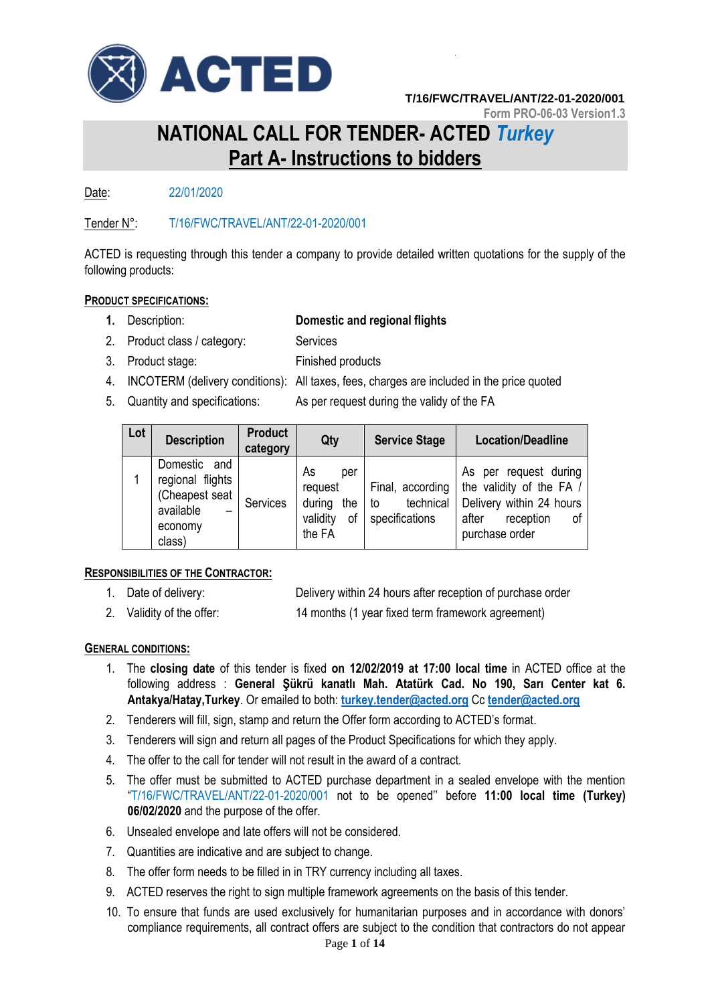

**Form PRO-06-03 Version1.3**

# **NATIONAL CALL FOR TENDER- ACTED** *Turkey* **Part A- Instructions to bidders**

Date: 22/01/2020

Tender N°: T/16/FWC/TRAVEL/ANT/22-01-2020/001

ACTED is requesting through this tender a company to provide detailed written quotations for the supply of the following products:

### **PRODUCT SPECIFICATIONS:**

## **1.** Description: **Domestic and regional flights**

- 2. Product class / category: Services
- 3. Product stage: Finished products
- 4. INCOTERM (delivery conditions): All taxes, fees, charges are included in the price quoted
- 5. Quantity and specifications: As per request during the validy of the FA
- 

| Lot | <b>Description</b>                                                                                                    | <b>Product</b><br>category | Qty                                                               | <b>Service Stage</b>                                  | <b>Location/Deadline</b>                                                                                                    |
|-----|-----------------------------------------------------------------------------------------------------------------------|----------------------------|-------------------------------------------------------------------|-------------------------------------------------------|-----------------------------------------------------------------------------------------------------------------------------|
|     | Domestic<br>and<br>regional flights<br>(Cheapest seat  <br>available<br>$\overline{\phantom{0}}$<br>economy<br>class) | Services                   | As<br>per<br>request<br>during<br>the<br>validity<br>οf<br>the FA | Final, according<br>technical<br>to<br>specifications | As per request during<br>the validity of the FA /<br>Delivery within 24 hours<br>reception<br>after<br>οf<br>purchase order |

### **RESPONSIBILITIES OF THE CONTRACTOR:**

- 1. Date of delivery: Delivery within 24 hours after reception of purchase order
- 2. Validity of the offer: 14 months (1 year fixed term framework agreement)

### **GENERAL CONDITIONS:**

- 1. The **closing date** of this tender is fixed **on 12/02/2019 at 17:00 local time** in ACTED office at the following address : **General Şükrü kanatlı Mah. Atatürk Cad. No 190, Sarı Center kat 6. Antakya/Hatay,Turkey**. Or emailed to both: **[turkey.tender@acted.org](mailto:turkey.tender@acted.org)** Cc **[tender@acted.org](mailto:tender@acted.org)**
- 2. Tenderers will fill, sign, stamp and return the Offer form according to ACTED's format.
- 3. Tenderers will sign and return all pages of the Product Specifications for which they apply.
- 4. The offer to the call for tender will not result in the award of a contract.
- 5. The offer must be submitted to ACTED purchase department in a sealed envelope with the mention "T/16/FWC/TRAVEL/ANT/22-01-2020/001 not to be opened'' before **11:00 local time (Turkey) 06/02/2020** and the purpose of the offer.
- 6. Unsealed envelope and late offers will not be considered.
- 7. Quantities are indicative and are subject to change.
- 8. The offer form needs to be filled in in TRY currency including all taxes.
- 9. ACTED reserves the right to sign multiple framework agreements on the basis of this tender.
- 10. To ensure that funds are used exclusively for humanitarian purposes and in accordance with donors' compliance requirements, all contract offers are subject to the condition that contractors do not appear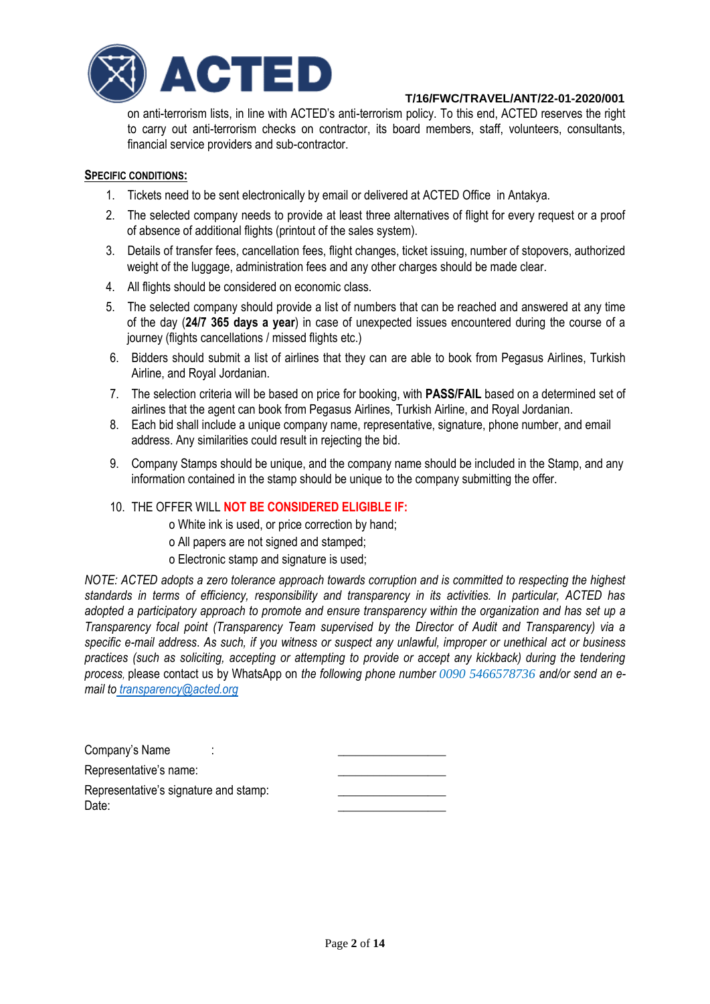

on anti-terrorism lists, in line with ACTED's anti-terrorism policy. To this end, ACTED reserves the right to carry out anti-terrorism checks on contractor, its board members, staff, volunteers, consultants, financial service providers and sub-contractor.

### **SPECIFIC CONDITIONS:**

- 1. Tickets need to be sent electronically by email or delivered at ACTED Office in Antakya.
- 2. The selected company needs to provide at least three alternatives of flight for every request or a proof of absence of additional flights (printout of the sales system).
- 3. Details of transfer fees, cancellation fees, flight changes, ticket issuing, number of stopovers, authorized weight of the luggage, administration fees and any other charges should be made clear.
- 4. All flights should be considered on economic class.
- 5. The selected company should provide a list of numbers that can be reached and answered at any time of the day (**24/7 365 days a year**) in case of unexpected issues encountered during the course of a journey (flights cancellations / missed flights etc.)
- 6. Bidders should submit a list of airlines that they can are able to book from Pegasus Airlines, Turkish Airline, and Royal Jordanian.
- 7. The selection criteria will be based on price for booking, with **PASS/FAIL** based on a determined set of airlines that the agent can book from Pegasus Airlines, Turkish Airline, and Royal Jordanian.
- 8. Each bid shall include a unique company name, representative, signature, phone number, and email address. Any similarities could result in rejecting the bid.
- 9. Company Stamps should be unique, and the company name should be included in the Stamp, and any information contained in the stamp should be unique to the company submitting the offer.

### 10. THE OFFER WILL **NOT BE CONSIDERED ELIGIBLE IF:**

o White ink is used, or price correction by hand;

- o All papers are not signed and stamped;
- o Electronic stamp and signature is used;

*NOTE: ACTED adopts a zero tolerance approach towards corruption and is committed to respecting the highest standards in terms of efficiency, responsibility and transparency in its activities. In particular, ACTED has adopted a participatory approach to promote and ensure transparency within the organization and has set up a Transparency focal point (Transparency Team supervised by the Director of Audit and Transparency) via a specific e-mail address*. *As such, if you witness or suspect any unlawful, improper or unethical act or business practices (such as soliciting, accepting or attempting to provide or accept any kickback) during the tendering process,* please contact us by WhatsApp on *the following phone number 0090 5466578736 and/or send an email to [transparency@acted.org](mailto:transparency@acted.org)*

| Company's Name                        |  |
|---------------------------------------|--|
| Representative's name:                |  |
| Representative's signature and stamp: |  |
| Date:                                 |  |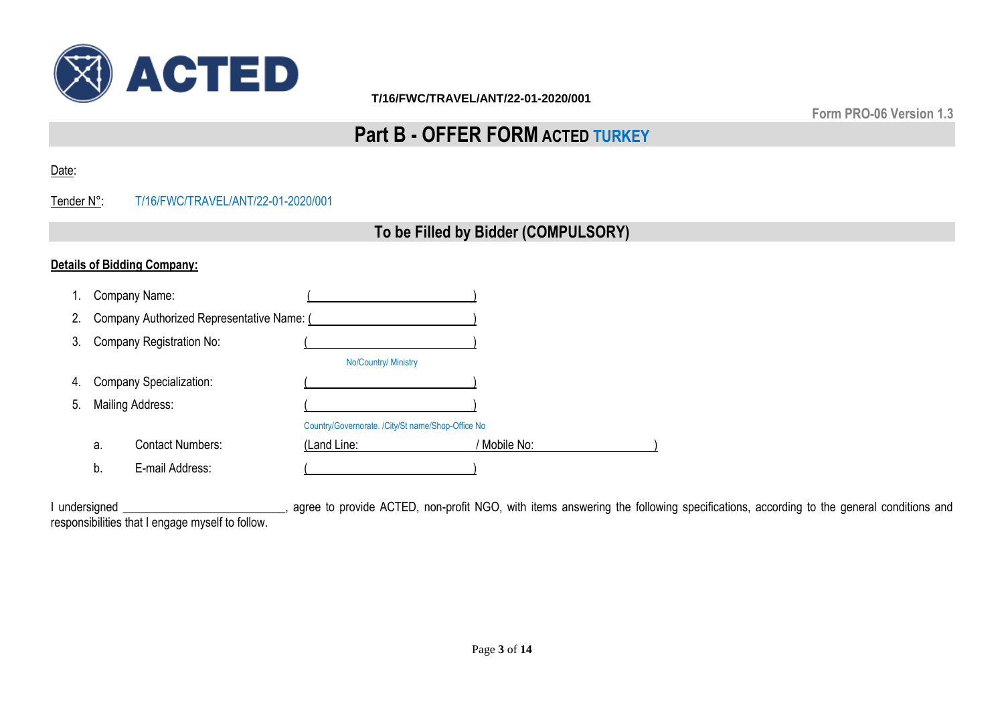

**Form PRO-06 Version 1.3**

# **Part B - OFFER FORM ACTED TURKEY**

Date:

# Tender N°: T/16/FWC/TRAVEL/ANT/22-01-2020/001

# **To be Filled by Bidder (COMPULSORY)**

# **Details of Bidding Company:**

| 1. |                                | Company Name:                             |                                                   |              |
|----|--------------------------------|-------------------------------------------|---------------------------------------------------|--------------|
| 2. |                                | Company Authorized Representative Name: ( |                                                   |              |
| 3. |                                | Company Registration No:                  |                                                   |              |
|    |                                |                                           | No/Country/ Ministry                              |              |
| 4. | <b>Company Specialization:</b> |                                           |                                                   |              |
| 5. |                                | <b>Mailing Address:</b>                   |                                                   |              |
|    |                                |                                           | Country/Governorate. /City/St name/Shop-Office No |              |
|    | a.                             | <b>Contact Numbers:</b>                   | (Land Line:                                       | ' Mobile No: |
|    | b.                             | E-mail Address:                           |                                                   |              |

I undersigned \_\_\_\_\_\_\_\_\_\_\_\_\_\_\_\_\_\_\_\_\_\_\_\_, agree to provide ACTED, non-profit NGO, with items answering the following specifications, according to the general conditions and responsibilities that I engage myself to follow.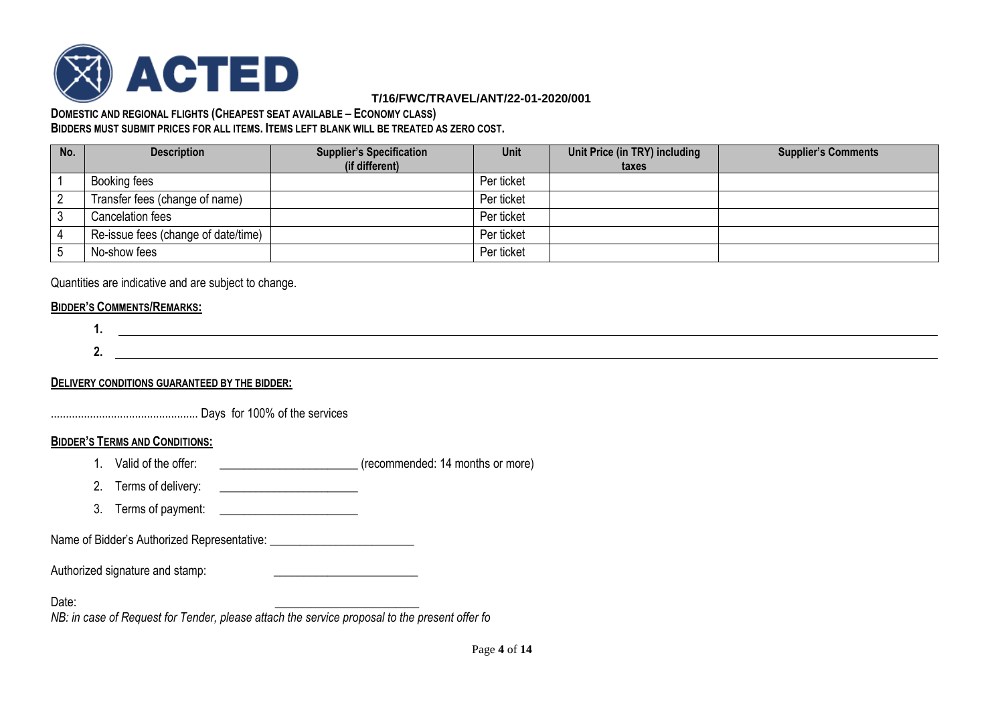

#### **DOMESTIC AND REGIONAL FLIGHTS (CHEAPEST SEAT AVAILABLE – ECONOMY CLASS) BIDDERS MUST SUBMIT PRICES FOR ALL ITEMS. ITEMS LEFT BLANK WILL BE TREATED AS ZERO COST.**

| No. | <b>Description</b>                  | <b>Supplier's Specification</b><br>(if different) | <b>Unit</b> | Unit Price (in TRY) including<br>taxes | <b>Supplier's Comments</b> |
|-----|-------------------------------------|---------------------------------------------------|-------------|----------------------------------------|----------------------------|
|     | Booking fees                        |                                                   | Per ticket  |                                        |                            |
|     | Transfer fees (change of name)      |                                                   | Per ticket  |                                        |                            |
|     | Cancelation fees                    |                                                   | Per ticket  |                                        |                            |
|     | Re-issue fees (change of date/time) |                                                   | Per ticket  |                                        |                            |
|     | No-show fees                        |                                                   | Per ticket  |                                        |                            |

Quantities are indicative and are subject to change.

### **BIDDER'S COMMENTS/REMARKS:**

$$
\begin{array}{c}\n1. \\
2. \\
\end{array}
$$

**DELIVERY CONDITIONS GUARANTEED BY THE BIDDER:**

................................................. Days for 100% of the services

### **BIDDER'S TERMS AND CONDITIONS:**

- 1. Valid of the offer: \_\_\_\_\_\_\_\_\_\_\_\_\_\_\_\_\_\_\_\_\_\_\_ (recommended: 14 months or more)
- 2. Terms of delivery:
- 3. Terms of payment:

Name of Bidder's Authorized Representative: \_\_\_\_\_\_\_\_\_\_\_\_\_\_\_\_\_\_\_\_\_\_\_\_

Authorized signature and stamp:

Date: \_\_\_\_\_\_\_\_\_\_\_\_\_\_\_\_\_\_\_\_\_\_\_\_

*NB: in case of Request for Tender, please attach the service proposal to the present offer fo*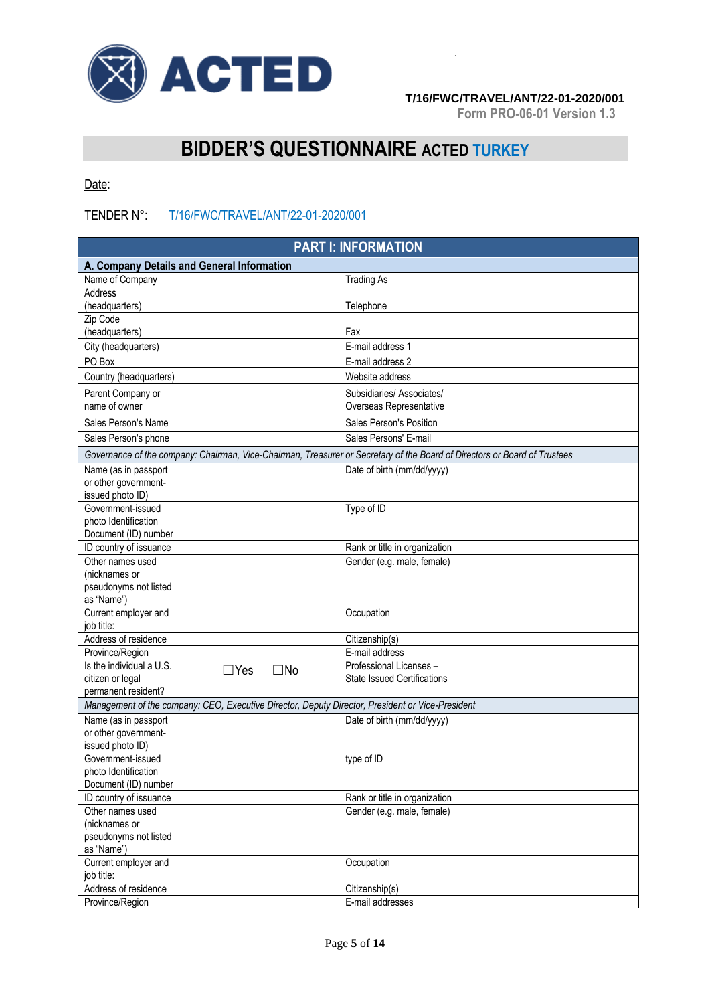

**Form PRO-06-01 Version 1.3**

# **BIDDER'S QUESTIONNAIRE ACTED TURKEY**

Date:

# TENDER N°: T/16/FWC/TRAVEL/ANT/22-01-2020/001

| <b>PART I: INFORMATION</b>                   |            |              |                                                                                                                           |  |  |  |  |
|----------------------------------------------|------------|--------------|---------------------------------------------------------------------------------------------------------------------------|--|--|--|--|
| A. Company Details and General Information   |            |              |                                                                                                                           |  |  |  |  |
| Name of Company                              |            |              | <b>Trading As</b>                                                                                                         |  |  |  |  |
| Address                                      |            |              |                                                                                                                           |  |  |  |  |
| (headquarters)                               |            |              | Telephone                                                                                                                 |  |  |  |  |
| Zip Code                                     |            |              |                                                                                                                           |  |  |  |  |
| (headquarters)                               |            |              | Fax                                                                                                                       |  |  |  |  |
| City (headquarters)                          |            |              | E-mail address 1                                                                                                          |  |  |  |  |
| PO Box                                       |            |              | E-mail address 2                                                                                                          |  |  |  |  |
| Country (headquarters)                       |            |              | Website address                                                                                                           |  |  |  |  |
| Parent Company or                            |            |              | Subsidiaries/ Associates/                                                                                                 |  |  |  |  |
| name of owner                                |            |              | Overseas Representative                                                                                                   |  |  |  |  |
| Sales Person's Name                          |            |              | Sales Person's Position                                                                                                   |  |  |  |  |
| Sales Person's phone                         |            |              | Sales Persons' E-mail                                                                                                     |  |  |  |  |
|                                              |            |              |                                                                                                                           |  |  |  |  |
|                                              |            |              | Governance of the company: Chairman, Vice-Chairman, Treasurer or Secretary of the Board of Directors or Board of Trustees |  |  |  |  |
| Name (as in passport                         |            |              | Date of birth (mm/dd/yyyy)                                                                                                |  |  |  |  |
| or other government-<br>issued photo ID)     |            |              |                                                                                                                           |  |  |  |  |
| Government-issued                            |            |              | Type of ID                                                                                                                |  |  |  |  |
| photo Identification                         |            |              |                                                                                                                           |  |  |  |  |
| Document (ID) number                         |            |              |                                                                                                                           |  |  |  |  |
| ID country of issuance                       |            |              | Rank or title in organization                                                                                             |  |  |  |  |
| Other names used                             |            |              | Gender (e.g. male, female)                                                                                                |  |  |  |  |
| (nicknames or                                |            |              |                                                                                                                           |  |  |  |  |
| pseudonyms not listed                        |            |              |                                                                                                                           |  |  |  |  |
| as "Name")                                   |            |              |                                                                                                                           |  |  |  |  |
| Current employer and                         |            |              | Occupation                                                                                                                |  |  |  |  |
| job title:                                   |            |              |                                                                                                                           |  |  |  |  |
| Address of residence                         |            |              | Citizenship(s)                                                                                                            |  |  |  |  |
| Province/Region                              |            |              | E-mail address                                                                                                            |  |  |  |  |
| Is the individual a U.S.                     | $\Box$ Yes | $\square$ No | Professional Licenses -                                                                                                   |  |  |  |  |
| citizen or legal                             |            |              | <b>State Issued Certifications</b>                                                                                        |  |  |  |  |
| permanent resident?                          |            |              |                                                                                                                           |  |  |  |  |
|                                              |            |              | Management of the company: CEO, Executive Director, Deputy Director, President or Vice-President                          |  |  |  |  |
| Name (as in passport                         |            |              | Date of birth (mm/dd/yyyy)                                                                                                |  |  |  |  |
| or other government-                         |            |              |                                                                                                                           |  |  |  |  |
| issued photo ID)<br>Government-issued        |            |              |                                                                                                                           |  |  |  |  |
|                                              |            |              | type of ID                                                                                                                |  |  |  |  |
| photo Identification<br>Document (ID) number |            |              |                                                                                                                           |  |  |  |  |
| ID country of issuance                       |            |              | Rank or title in organization                                                                                             |  |  |  |  |
| Other names used                             |            |              | Gender (e.g. male, female)                                                                                                |  |  |  |  |
| (nicknames or                                |            |              |                                                                                                                           |  |  |  |  |
| pseudonyms not listed                        |            |              |                                                                                                                           |  |  |  |  |
| as "Name")                                   |            |              |                                                                                                                           |  |  |  |  |
| Current employer and                         |            |              | Occupation                                                                                                                |  |  |  |  |
| job title:                                   |            |              |                                                                                                                           |  |  |  |  |
| Address of residence                         |            |              | Citizenship(s)                                                                                                            |  |  |  |  |
| Province/Region                              |            |              | E-mail addresses                                                                                                          |  |  |  |  |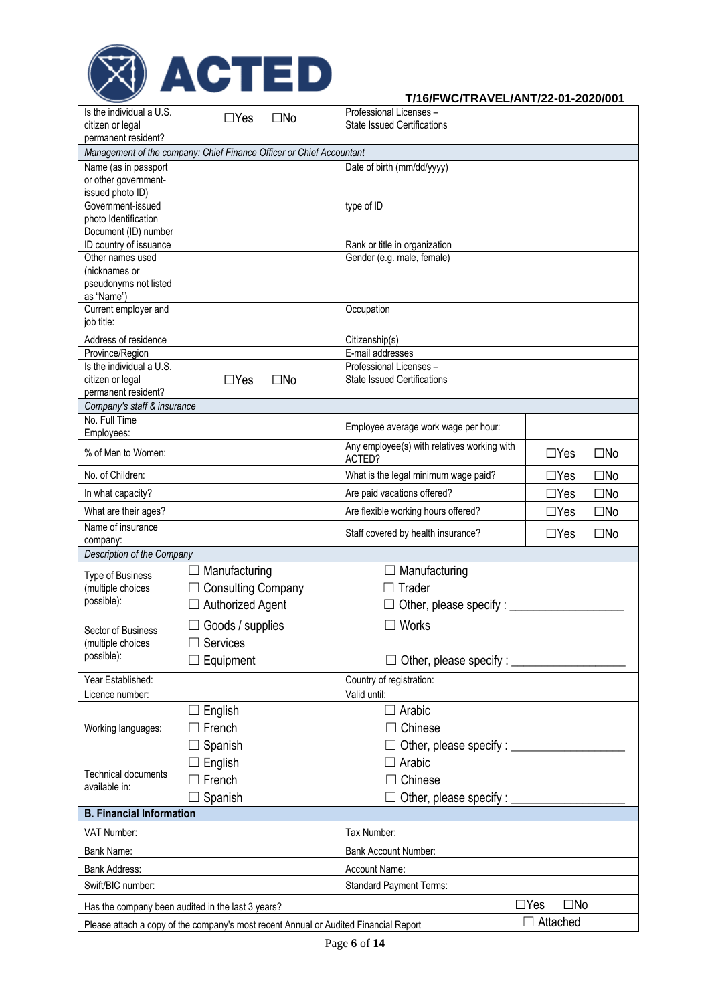

| permanent resident?<br>Management of the company: Chief Finance Officer or Chief Accountant<br>Name (as in passport<br>Date of birth (mm/dd/yyyy)<br>or other government-<br>issued photo ID)<br>Government-issued<br>type of ID<br>photo Identification<br>Document (ID) number<br>ID country of issuance<br>Rank or title in organization<br>Other names used<br>Gender (e.g. male, female)<br>(nicknames or<br>pseudonyms not listed<br>as "Name")<br>Current employer and<br>Occupation<br>job title:<br>Address of residence<br>Citizenship(s)<br>E-mail addresses<br>Province/Region<br>Is the individual a U.S.<br>Professional Licenses -<br>$\Box$ Yes<br><b>State Issued Certifications</b><br>citizen or legal<br>$\square$ No<br>permanent resident?<br>Company's staff & insurance<br>No. Full Time<br>Employee average work wage per hour:<br>Employees:<br>Any employee(s) with relatives working with<br>% of Men to Women:<br>$\Box$ Yes<br>$\square$ No<br>ACTED?<br>$\square$ No<br>No. of Children:<br>$\Box$ Yes<br>What is the legal minimum wage paid?<br>$\square$ No<br>Are paid vacations offered?<br>$\Box$ Yes<br>In what capacity?<br>$\Box$ Yes<br>$\square$ No<br>What are their ages?<br>Are flexible working hours offered?<br>Name of insurance<br>Staff covered by health insurance?<br>$\Box$ Yes<br>$\square$ No<br>company:<br>Description of the Company<br>Manufacturing<br>Manufacturing<br><b>Type of Business</b><br><b>Consulting Company</b><br>(multiple choices<br>Trader<br>possible):<br>Authorized Agent<br>Other, please specify : ___<br>Works<br>$\Box$ Goods / supplies<br>Sector of Business<br>$\Box$ Services<br>(multiple choices<br>possible):<br>$\Box$ Other, please specify : $\Box$<br>Equipment<br>$\Box$<br>Year Established:<br>Country of registration:<br>Valid until:<br>Licence number:<br>$\Box$ Arabic<br>English<br>$\mathcal{L}_{\mathcal{A}}$<br>$\Box$ Chinese<br>French<br>Working languages:<br>Other, please specify :<br>Spanish<br>Arabic<br>English<br>Ш<br><b>Technical documents</b><br>French<br>Chinese<br>available in:<br>Spanish<br>Other, please specify : _______<br><b>B. Financial Information</b><br>VAT Number:<br>Tax Number:<br>Bank Name:<br>Bank Account Number:<br>Bank Address:<br>Account Name:<br>Swift/BIC number:<br><b>Standard Payment Terms:</b><br>$\square$ No<br>$\Box$ Yes<br>Has the company been audited in the last 3 years?<br>Attached<br>Please attach a copy of the company's most recent Annual or Audited Financial Report | Is the individual a U.S. | $\Box$ Yes<br>$\square$ No | Professional Licenses -            |  |  |  |  |  |
|-----------------------------------------------------------------------------------------------------------------------------------------------------------------------------------------------------------------------------------------------------------------------------------------------------------------------------------------------------------------------------------------------------------------------------------------------------------------------------------------------------------------------------------------------------------------------------------------------------------------------------------------------------------------------------------------------------------------------------------------------------------------------------------------------------------------------------------------------------------------------------------------------------------------------------------------------------------------------------------------------------------------------------------------------------------------------------------------------------------------------------------------------------------------------------------------------------------------------------------------------------------------------------------------------------------------------------------------------------------------------------------------------------------------------------------------------------------------------------------------------------------------------------------------------------------------------------------------------------------------------------------------------------------------------------------------------------------------------------------------------------------------------------------------------------------------------------------------------------------------------------------------------------------------------------------------------------------------------------------------------------------------------------------------------------------------------------------------------------------------------------------------------------------------------------------------------------------------------------------------------------------------------------------------------------------------------------------------------------------------------------------------------------------------------------------------------------------------------------------------------------------------------------------------------------|--------------------------|----------------------------|------------------------------------|--|--|--|--|--|
|                                                                                                                                                                                                                                                                                                                                                                                                                                                                                                                                                                                                                                                                                                                                                                                                                                                                                                                                                                                                                                                                                                                                                                                                                                                                                                                                                                                                                                                                                                                                                                                                                                                                                                                                                                                                                                                                                                                                                                                                                                                                                                                                                                                                                                                                                                                                                                                                                                                                                                                                                     | citizen or legal         |                            | <b>State Issued Certifications</b> |  |  |  |  |  |
|                                                                                                                                                                                                                                                                                                                                                                                                                                                                                                                                                                                                                                                                                                                                                                                                                                                                                                                                                                                                                                                                                                                                                                                                                                                                                                                                                                                                                                                                                                                                                                                                                                                                                                                                                                                                                                                                                                                                                                                                                                                                                                                                                                                                                                                                                                                                                                                                                                                                                                                                                     |                          |                            |                                    |  |  |  |  |  |
|                                                                                                                                                                                                                                                                                                                                                                                                                                                                                                                                                                                                                                                                                                                                                                                                                                                                                                                                                                                                                                                                                                                                                                                                                                                                                                                                                                                                                                                                                                                                                                                                                                                                                                                                                                                                                                                                                                                                                                                                                                                                                                                                                                                                                                                                                                                                                                                                                                                                                                                                                     |                          |                            |                                    |  |  |  |  |  |
|                                                                                                                                                                                                                                                                                                                                                                                                                                                                                                                                                                                                                                                                                                                                                                                                                                                                                                                                                                                                                                                                                                                                                                                                                                                                                                                                                                                                                                                                                                                                                                                                                                                                                                                                                                                                                                                                                                                                                                                                                                                                                                                                                                                                                                                                                                                                                                                                                                                                                                                                                     |                          |                            |                                    |  |  |  |  |  |
|                                                                                                                                                                                                                                                                                                                                                                                                                                                                                                                                                                                                                                                                                                                                                                                                                                                                                                                                                                                                                                                                                                                                                                                                                                                                                                                                                                                                                                                                                                                                                                                                                                                                                                                                                                                                                                                                                                                                                                                                                                                                                                                                                                                                                                                                                                                                                                                                                                                                                                                                                     |                          |                            |                                    |  |  |  |  |  |
|                                                                                                                                                                                                                                                                                                                                                                                                                                                                                                                                                                                                                                                                                                                                                                                                                                                                                                                                                                                                                                                                                                                                                                                                                                                                                                                                                                                                                                                                                                                                                                                                                                                                                                                                                                                                                                                                                                                                                                                                                                                                                                                                                                                                                                                                                                                                                                                                                                                                                                                                                     |                          |                            |                                    |  |  |  |  |  |
|                                                                                                                                                                                                                                                                                                                                                                                                                                                                                                                                                                                                                                                                                                                                                                                                                                                                                                                                                                                                                                                                                                                                                                                                                                                                                                                                                                                                                                                                                                                                                                                                                                                                                                                                                                                                                                                                                                                                                                                                                                                                                                                                                                                                                                                                                                                                                                                                                                                                                                                                                     |                          |                            |                                    |  |  |  |  |  |
|                                                                                                                                                                                                                                                                                                                                                                                                                                                                                                                                                                                                                                                                                                                                                                                                                                                                                                                                                                                                                                                                                                                                                                                                                                                                                                                                                                                                                                                                                                                                                                                                                                                                                                                                                                                                                                                                                                                                                                                                                                                                                                                                                                                                                                                                                                                                                                                                                                                                                                                                                     |                          |                            |                                    |  |  |  |  |  |
|                                                                                                                                                                                                                                                                                                                                                                                                                                                                                                                                                                                                                                                                                                                                                                                                                                                                                                                                                                                                                                                                                                                                                                                                                                                                                                                                                                                                                                                                                                                                                                                                                                                                                                                                                                                                                                                                                                                                                                                                                                                                                                                                                                                                                                                                                                                                                                                                                                                                                                                                                     |                          |                            |                                    |  |  |  |  |  |
|                                                                                                                                                                                                                                                                                                                                                                                                                                                                                                                                                                                                                                                                                                                                                                                                                                                                                                                                                                                                                                                                                                                                                                                                                                                                                                                                                                                                                                                                                                                                                                                                                                                                                                                                                                                                                                                                                                                                                                                                                                                                                                                                                                                                                                                                                                                                                                                                                                                                                                                                                     |                          |                            |                                    |  |  |  |  |  |
|                                                                                                                                                                                                                                                                                                                                                                                                                                                                                                                                                                                                                                                                                                                                                                                                                                                                                                                                                                                                                                                                                                                                                                                                                                                                                                                                                                                                                                                                                                                                                                                                                                                                                                                                                                                                                                                                                                                                                                                                                                                                                                                                                                                                                                                                                                                                                                                                                                                                                                                                                     |                          |                            |                                    |  |  |  |  |  |
|                                                                                                                                                                                                                                                                                                                                                                                                                                                                                                                                                                                                                                                                                                                                                                                                                                                                                                                                                                                                                                                                                                                                                                                                                                                                                                                                                                                                                                                                                                                                                                                                                                                                                                                                                                                                                                                                                                                                                                                                                                                                                                                                                                                                                                                                                                                                                                                                                                                                                                                                                     |                          |                            |                                    |  |  |  |  |  |
|                                                                                                                                                                                                                                                                                                                                                                                                                                                                                                                                                                                                                                                                                                                                                                                                                                                                                                                                                                                                                                                                                                                                                                                                                                                                                                                                                                                                                                                                                                                                                                                                                                                                                                                                                                                                                                                                                                                                                                                                                                                                                                                                                                                                                                                                                                                                                                                                                                                                                                                                                     |                          |                            |                                    |  |  |  |  |  |
|                                                                                                                                                                                                                                                                                                                                                                                                                                                                                                                                                                                                                                                                                                                                                                                                                                                                                                                                                                                                                                                                                                                                                                                                                                                                                                                                                                                                                                                                                                                                                                                                                                                                                                                                                                                                                                                                                                                                                                                                                                                                                                                                                                                                                                                                                                                                                                                                                                                                                                                                                     |                          |                            |                                    |  |  |  |  |  |
|                                                                                                                                                                                                                                                                                                                                                                                                                                                                                                                                                                                                                                                                                                                                                                                                                                                                                                                                                                                                                                                                                                                                                                                                                                                                                                                                                                                                                                                                                                                                                                                                                                                                                                                                                                                                                                                                                                                                                                                                                                                                                                                                                                                                                                                                                                                                                                                                                                                                                                                                                     |                          |                            |                                    |  |  |  |  |  |
|                                                                                                                                                                                                                                                                                                                                                                                                                                                                                                                                                                                                                                                                                                                                                                                                                                                                                                                                                                                                                                                                                                                                                                                                                                                                                                                                                                                                                                                                                                                                                                                                                                                                                                                                                                                                                                                                                                                                                                                                                                                                                                                                                                                                                                                                                                                                                                                                                                                                                                                                                     |                          |                            |                                    |  |  |  |  |  |
|                                                                                                                                                                                                                                                                                                                                                                                                                                                                                                                                                                                                                                                                                                                                                                                                                                                                                                                                                                                                                                                                                                                                                                                                                                                                                                                                                                                                                                                                                                                                                                                                                                                                                                                                                                                                                                                                                                                                                                                                                                                                                                                                                                                                                                                                                                                                                                                                                                                                                                                                                     |                          |                            |                                    |  |  |  |  |  |
|                                                                                                                                                                                                                                                                                                                                                                                                                                                                                                                                                                                                                                                                                                                                                                                                                                                                                                                                                                                                                                                                                                                                                                                                                                                                                                                                                                                                                                                                                                                                                                                                                                                                                                                                                                                                                                                                                                                                                                                                                                                                                                                                                                                                                                                                                                                                                                                                                                                                                                                                                     |                          |                            |                                    |  |  |  |  |  |
|                                                                                                                                                                                                                                                                                                                                                                                                                                                                                                                                                                                                                                                                                                                                                                                                                                                                                                                                                                                                                                                                                                                                                                                                                                                                                                                                                                                                                                                                                                                                                                                                                                                                                                                                                                                                                                                                                                                                                                                                                                                                                                                                                                                                                                                                                                                                                                                                                                                                                                                                                     |                          |                            |                                    |  |  |  |  |  |
|                                                                                                                                                                                                                                                                                                                                                                                                                                                                                                                                                                                                                                                                                                                                                                                                                                                                                                                                                                                                                                                                                                                                                                                                                                                                                                                                                                                                                                                                                                                                                                                                                                                                                                                                                                                                                                                                                                                                                                                                                                                                                                                                                                                                                                                                                                                                                                                                                                                                                                                                                     |                          |                            |                                    |  |  |  |  |  |
|                                                                                                                                                                                                                                                                                                                                                                                                                                                                                                                                                                                                                                                                                                                                                                                                                                                                                                                                                                                                                                                                                                                                                                                                                                                                                                                                                                                                                                                                                                                                                                                                                                                                                                                                                                                                                                                                                                                                                                                                                                                                                                                                                                                                                                                                                                                                                                                                                                                                                                                                                     |                          |                            |                                    |  |  |  |  |  |
|                                                                                                                                                                                                                                                                                                                                                                                                                                                                                                                                                                                                                                                                                                                                                                                                                                                                                                                                                                                                                                                                                                                                                                                                                                                                                                                                                                                                                                                                                                                                                                                                                                                                                                                                                                                                                                                                                                                                                                                                                                                                                                                                                                                                                                                                                                                                                                                                                                                                                                                                                     |                          |                            |                                    |  |  |  |  |  |
|                                                                                                                                                                                                                                                                                                                                                                                                                                                                                                                                                                                                                                                                                                                                                                                                                                                                                                                                                                                                                                                                                                                                                                                                                                                                                                                                                                                                                                                                                                                                                                                                                                                                                                                                                                                                                                                                                                                                                                                                                                                                                                                                                                                                                                                                                                                                                                                                                                                                                                                                                     |                          |                            |                                    |  |  |  |  |  |
|                                                                                                                                                                                                                                                                                                                                                                                                                                                                                                                                                                                                                                                                                                                                                                                                                                                                                                                                                                                                                                                                                                                                                                                                                                                                                                                                                                                                                                                                                                                                                                                                                                                                                                                                                                                                                                                                                                                                                                                                                                                                                                                                                                                                                                                                                                                                                                                                                                                                                                                                                     |                          |                            |                                    |  |  |  |  |  |
|                                                                                                                                                                                                                                                                                                                                                                                                                                                                                                                                                                                                                                                                                                                                                                                                                                                                                                                                                                                                                                                                                                                                                                                                                                                                                                                                                                                                                                                                                                                                                                                                                                                                                                                                                                                                                                                                                                                                                                                                                                                                                                                                                                                                                                                                                                                                                                                                                                                                                                                                                     |                          |                            |                                    |  |  |  |  |  |
|                                                                                                                                                                                                                                                                                                                                                                                                                                                                                                                                                                                                                                                                                                                                                                                                                                                                                                                                                                                                                                                                                                                                                                                                                                                                                                                                                                                                                                                                                                                                                                                                                                                                                                                                                                                                                                                                                                                                                                                                                                                                                                                                                                                                                                                                                                                                                                                                                                                                                                                                                     |                          |                            |                                    |  |  |  |  |  |
|                                                                                                                                                                                                                                                                                                                                                                                                                                                                                                                                                                                                                                                                                                                                                                                                                                                                                                                                                                                                                                                                                                                                                                                                                                                                                                                                                                                                                                                                                                                                                                                                                                                                                                                                                                                                                                                                                                                                                                                                                                                                                                                                                                                                                                                                                                                                                                                                                                                                                                                                                     |                          |                            |                                    |  |  |  |  |  |
|                                                                                                                                                                                                                                                                                                                                                                                                                                                                                                                                                                                                                                                                                                                                                                                                                                                                                                                                                                                                                                                                                                                                                                                                                                                                                                                                                                                                                                                                                                                                                                                                                                                                                                                                                                                                                                                                                                                                                                                                                                                                                                                                                                                                                                                                                                                                                                                                                                                                                                                                                     |                          |                            |                                    |  |  |  |  |  |
|                                                                                                                                                                                                                                                                                                                                                                                                                                                                                                                                                                                                                                                                                                                                                                                                                                                                                                                                                                                                                                                                                                                                                                                                                                                                                                                                                                                                                                                                                                                                                                                                                                                                                                                                                                                                                                                                                                                                                                                                                                                                                                                                                                                                                                                                                                                                                                                                                                                                                                                                                     |                          |                            |                                    |  |  |  |  |  |
|                                                                                                                                                                                                                                                                                                                                                                                                                                                                                                                                                                                                                                                                                                                                                                                                                                                                                                                                                                                                                                                                                                                                                                                                                                                                                                                                                                                                                                                                                                                                                                                                                                                                                                                                                                                                                                                                                                                                                                                                                                                                                                                                                                                                                                                                                                                                                                                                                                                                                                                                                     |                          |                            |                                    |  |  |  |  |  |
|                                                                                                                                                                                                                                                                                                                                                                                                                                                                                                                                                                                                                                                                                                                                                                                                                                                                                                                                                                                                                                                                                                                                                                                                                                                                                                                                                                                                                                                                                                                                                                                                                                                                                                                                                                                                                                                                                                                                                                                                                                                                                                                                                                                                                                                                                                                                                                                                                                                                                                                                                     |                          |                            |                                    |  |  |  |  |  |
|                                                                                                                                                                                                                                                                                                                                                                                                                                                                                                                                                                                                                                                                                                                                                                                                                                                                                                                                                                                                                                                                                                                                                                                                                                                                                                                                                                                                                                                                                                                                                                                                                                                                                                                                                                                                                                                                                                                                                                                                                                                                                                                                                                                                                                                                                                                                                                                                                                                                                                                                                     |                          |                            |                                    |  |  |  |  |  |
|                                                                                                                                                                                                                                                                                                                                                                                                                                                                                                                                                                                                                                                                                                                                                                                                                                                                                                                                                                                                                                                                                                                                                                                                                                                                                                                                                                                                                                                                                                                                                                                                                                                                                                                                                                                                                                                                                                                                                                                                                                                                                                                                                                                                                                                                                                                                                                                                                                                                                                                                                     |                          |                            |                                    |  |  |  |  |  |
|                                                                                                                                                                                                                                                                                                                                                                                                                                                                                                                                                                                                                                                                                                                                                                                                                                                                                                                                                                                                                                                                                                                                                                                                                                                                                                                                                                                                                                                                                                                                                                                                                                                                                                                                                                                                                                                                                                                                                                                                                                                                                                                                                                                                                                                                                                                                                                                                                                                                                                                                                     |                          |                            |                                    |  |  |  |  |  |
|                                                                                                                                                                                                                                                                                                                                                                                                                                                                                                                                                                                                                                                                                                                                                                                                                                                                                                                                                                                                                                                                                                                                                                                                                                                                                                                                                                                                                                                                                                                                                                                                                                                                                                                                                                                                                                                                                                                                                                                                                                                                                                                                                                                                                                                                                                                                                                                                                                                                                                                                                     |                          |                            |                                    |  |  |  |  |  |
|                                                                                                                                                                                                                                                                                                                                                                                                                                                                                                                                                                                                                                                                                                                                                                                                                                                                                                                                                                                                                                                                                                                                                                                                                                                                                                                                                                                                                                                                                                                                                                                                                                                                                                                                                                                                                                                                                                                                                                                                                                                                                                                                                                                                                                                                                                                                                                                                                                                                                                                                                     |                          |                            |                                    |  |  |  |  |  |
|                                                                                                                                                                                                                                                                                                                                                                                                                                                                                                                                                                                                                                                                                                                                                                                                                                                                                                                                                                                                                                                                                                                                                                                                                                                                                                                                                                                                                                                                                                                                                                                                                                                                                                                                                                                                                                                                                                                                                                                                                                                                                                                                                                                                                                                                                                                                                                                                                                                                                                                                                     |                          |                            |                                    |  |  |  |  |  |
|                                                                                                                                                                                                                                                                                                                                                                                                                                                                                                                                                                                                                                                                                                                                                                                                                                                                                                                                                                                                                                                                                                                                                                                                                                                                                                                                                                                                                                                                                                                                                                                                                                                                                                                                                                                                                                                                                                                                                                                                                                                                                                                                                                                                                                                                                                                                                                                                                                                                                                                                                     |                          |                            |                                    |  |  |  |  |  |
|                                                                                                                                                                                                                                                                                                                                                                                                                                                                                                                                                                                                                                                                                                                                                                                                                                                                                                                                                                                                                                                                                                                                                                                                                                                                                                                                                                                                                                                                                                                                                                                                                                                                                                                                                                                                                                                                                                                                                                                                                                                                                                                                                                                                                                                                                                                                                                                                                                                                                                                                                     |                          |                            |                                    |  |  |  |  |  |
|                                                                                                                                                                                                                                                                                                                                                                                                                                                                                                                                                                                                                                                                                                                                                                                                                                                                                                                                                                                                                                                                                                                                                                                                                                                                                                                                                                                                                                                                                                                                                                                                                                                                                                                                                                                                                                                                                                                                                                                                                                                                                                                                                                                                                                                                                                                                                                                                                                                                                                                                                     |                          |                            |                                    |  |  |  |  |  |
|                                                                                                                                                                                                                                                                                                                                                                                                                                                                                                                                                                                                                                                                                                                                                                                                                                                                                                                                                                                                                                                                                                                                                                                                                                                                                                                                                                                                                                                                                                                                                                                                                                                                                                                                                                                                                                                                                                                                                                                                                                                                                                                                                                                                                                                                                                                                                                                                                                                                                                                                                     |                          |                            |                                    |  |  |  |  |  |
|                                                                                                                                                                                                                                                                                                                                                                                                                                                                                                                                                                                                                                                                                                                                                                                                                                                                                                                                                                                                                                                                                                                                                                                                                                                                                                                                                                                                                                                                                                                                                                                                                                                                                                                                                                                                                                                                                                                                                                                                                                                                                                                                                                                                                                                                                                                                                                                                                                                                                                                                                     |                          |                            |                                    |  |  |  |  |  |
|                                                                                                                                                                                                                                                                                                                                                                                                                                                                                                                                                                                                                                                                                                                                                                                                                                                                                                                                                                                                                                                                                                                                                                                                                                                                                                                                                                                                                                                                                                                                                                                                                                                                                                                                                                                                                                                                                                                                                                                                                                                                                                                                                                                                                                                                                                                                                                                                                                                                                                                                                     |                          |                            |                                    |  |  |  |  |  |
|                                                                                                                                                                                                                                                                                                                                                                                                                                                                                                                                                                                                                                                                                                                                                                                                                                                                                                                                                                                                                                                                                                                                                                                                                                                                                                                                                                                                                                                                                                                                                                                                                                                                                                                                                                                                                                                                                                                                                                                                                                                                                                                                                                                                                                                                                                                                                                                                                                                                                                                                                     |                          |                            |                                    |  |  |  |  |  |
|                                                                                                                                                                                                                                                                                                                                                                                                                                                                                                                                                                                                                                                                                                                                                                                                                                                                                                                                                                                                                                                                                                                                                                                                                                                                                                                                                                                                                                                                                                                                                                                                                                                                                                                                                                                                                                                                                                                                                                                                                                                                                                                                                                                                                                                                                                                                                                                                                                                                                                                                                     |                          |                            |                                    |  |  |  |  |  |
|                                                                                                                                                                                                                                                                                                                                                                                                                                                                                                                                                                                                                                                                                                                                                                                                                                                                                                                                                                                                                                                                                                                                                                                                                                                                                                                                                                                                                                                                                                                                                                                                                                                                                                                                                                                                                                                                                                                                                                                                                                                                                                                                                                                                                                                                                                                                                                                                                                                                                                                                                     |                          |                            |                                    |  |  |  |  |  |
|                                                                                                                                                                                                                                                                                                                                                                                                                                                                                                                                                                                                                                                                                                                                                                                                                                                                                                                                                                                                                                                                                                                                                                                                                                                                                                                                                                                                                                                                                                                                                                                                                                                                                                                                                                                                                                                                                                                                                                                                                                                                                                                                                                                                                                                                                                                                                                                                                                                                                                                                                     |                          |                            |                                    |  |  |  |  |  |
|                                                                                                                                                                                                                                                                                                                                                                                                                                                                                                                                                                                                                                                                                                                                                                                                                                                                                                                                                                                                                                                                                                                                                                                                                                                                                                                                                                                                                                                                                                                                                                                                                                                                                                                                                                                                                                                                                                                                                                                                                                                                                                                                                                                                                                                                                                                                                                                                                                                                                                                                                     |                          |                            |                                    |  |  |  |  |  |
|                                                                                                                                                                                                                                                                                                                                                                                                                                                                                                                                                                                                                                                                                                                                                                                                                                                                                                                                                                                                                                                                                                                                                                                                                                                                                                                                                                                                                                                                                                                                                                                                                                                                                                                                                                                                                                                                                                                                                                                                                                                                                                                                                                                                                                                                                                                                                                                                                                                                                                                                                     |                          |                            |                                    |  |  |  |  |  |
|                                                                                                                                                                                                                                                                                                                                                                                                                                                                                                                                                                                                                                                                                                                                                                                                                                                                                                                                                                                                                                                                                                                                                                                                                                                                                                                                                                                                                                                                                                                                                                                                                                                                                                                                                                                                                                                                                                                                                                                                                                                                                                                                                                                                                                                                                                                                                                                                                                                                                                                                                     |                          |                            |                                    |  |  |  |  |  |
|                                                                                                                                                                                                                                                                                                                                                                                                                                                                                                                                                                                                                                                                                                                                                                                                                                                                                                                                                                                                                                                                                                                                                                                                                                                                                                                                                                                                                                                                                                                                                                                                                                                                                                                                                                                                                                                                                                                                                                                                                                                                                                                                                                                                                                                                                                                                                                                                                                                                                                                                                     |                          |                            |                                    |  |  |  |  |  |
|                                                                                                                                                                                                                                                                                                                                                                                                                                                                                                                                                                                                                                                                                                                                                                                                                                                                                                                                                                                                                                                                                                                                                                                                                                                                                                                                                                                                                                                                                                                                                                                                                                                                                                                                                                                                                                                                                                                                                                                                                                                                                                                                                                                                                                                                                                                                                                                                                                                                                                                                                     |                          |                            |                                    |  |  |  |  |  |
|                                                                                                                                                                                                                                                                                                                                                                                                                                                                                                                                                                                                                                                                                                                                                                                                                                                                                                                                                                                                                                                                                                                                                                                                                                                                                                                                                                                                                                                                                                                                                                                                                                                                                                                                                                                                                                                                                                                                                                                                                                                                                                                                                                                                                                                                                                                                                                                                                                                                                                                                                     |                          |                            |                                    |  |  |  |  |  |
|                                                                                                                                                                                                                                                                                                                                                                                                                                                                                                                                                                                                                                                                                                                                                                                                                                                                                                                                                                                                                                                                                                                                                                                                                                                                                                                                                                                                                                                                                                                                                                                                                                                                                                                                                                                                                                                                                                                                                                                                                                                                                                                                                                                                                                                                                                                                                                                                                                                                                                                                                     |                          |                            |                                    |  |  |  |  |  |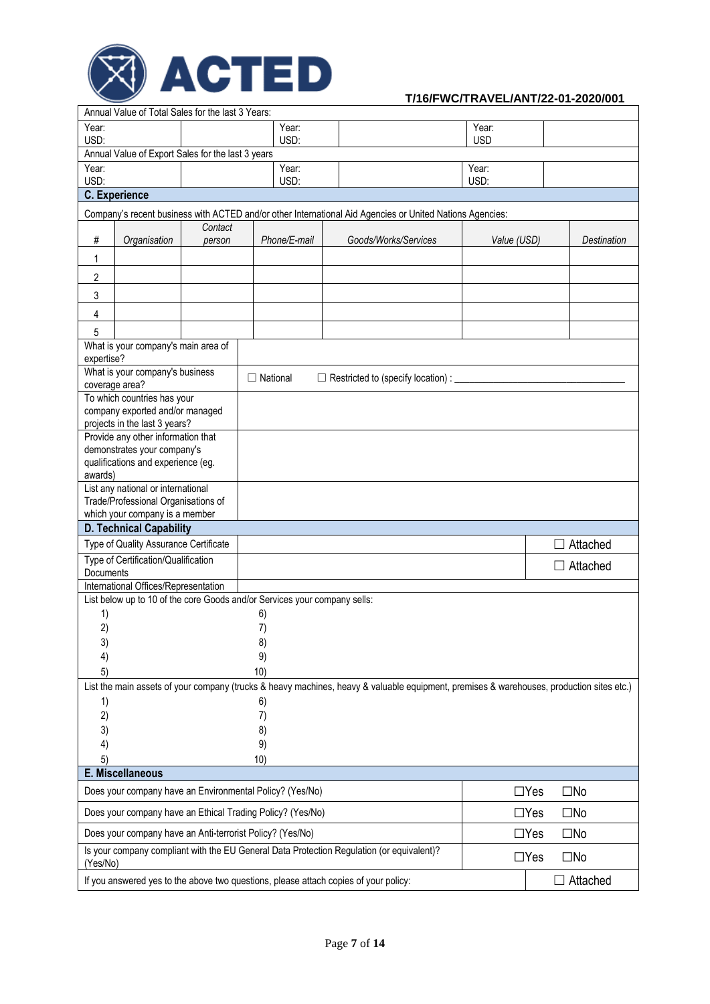

|                                                                                                                                                       | Annual Value of Total Sales for the last 3 Years:                                                                                   |         |                 |              |                                                                                                                                          |             |            |                    |
|-------------------------------------------------------------------------------------------------------------------------------------------------------|-------------------------------------------------------------------------------------------------------------------------------------|---------|-----------------|--------------|------------------------------------------------------------------------------------------------------------------------------------------|-------------|------------|--------------------|
| Year:                                                                                                                                                 |                                                                                                                                     |         |                 | Year:        |                                                                                                                                          | Year:       |            |                    |
| USD:                                                                                                                                                  | Annual Value of Export Sales for the last 3 years                                                                                   |         |                 | USD:         |                                                                                                                                          | <b>USD</b>  |            |                    |
| Year:                                                                                                                                                 |                                                                                                                                     |         |                 | Year:        |                                                                                                                                          | Year:       |            |                    |
| USD:                                                                                                                                                  |                                                                                                                                     |         |                 | USD:         |                                                                                                                                          | USD:        |            |                    |
|                                                                                                                                                       | <b>C.</b> Experience                                                                                                                |         |                 |              |                                                                                                                                          |             |            |                    |
|                                                                                                                                                       | Company's recent business with ACTED and/or other International Aid Agencies or United Nations Agencies:                            |         |                 |              |                                                                                                                                          |             |            |                    |
|                                                                                                                                                       |                                                                                                                                     | Contact |                 |              |                                                                                                                                          |             |            |                    |
| $\#$                                                                                                                                                  | Organisation                                                                                                                        | person  |                 | Phone/E-mail | Goods/Works/Services                                                                                                                     | Value (USD) |            | <b>Destination</b> |
| 1                                                                                                                                                     |                                                                                                                                     |         |                 |              |                                                                                                                                          |             |            |                    |
| 2                                                                                                                                                     |                                                                                                                                     |         |                 |              |                                                                                                                                          |             |            |                    |
| 3                                                                                                                                                     |                                                                                                                                     |         |                 |              |                                                                                                                                          |             |            |                    |
| 4                                                                                                                                                     |                                                                                                                                     |         |                 |              |                                                                                                                                          |             |            |                    |
| 5                                                                                                                                                     |                                                                                                                                     |         |                 |              |                                                                                                                                          |             |            |                    |
|                                                                                                                                                       | What is your company's main area of                                                                                                 |         |                 |              |                                                                                                                                          |             |            |                    |
| expertise?                                                                                                                                            |                                                                                                                                     |         |                 |              |                                                                                                                                          |             |            |                    |
| coverage area?                                                                                                                                        | What is your company's business                                                                                                     |         | $\Box$ National |              | $\Box$ Restricted to (specify location) : $\Box$                                                                                         |             |            |                    |
|                                                                                                                                                       | To which countries has your                                                                                                         |         |                 |              |                                                                                                                                          |             |            |                    |
|                                                                                                                                                       | company exported and/or managed                                                                                                     |         |                 |              |                                                                                                                                          |             |            |                    |
|                                                                                                                                                       | projects in the last 3 years?                                                                                                       |         |                 |              |                                                                                                                                          |             |            |                    |
|                                                                                                                                                       | Provide any other information that<br>demonstrates your company's                                                                   |         |                 |              |                                                                                                                                          |             |            |                    |
|                                                                                                                                                       | qualifications and experience (eg.                                                                                                  |         |                 |              |                                                                                                                                          |             |            |                    |
| awards)                                                                                                                                               |                                                                                                                                     |         |                 |              |                                                                                                                                          |             |            |                    |
|                                                                                                                                                       | List any national or international                                                                                                  |         |                 |              |                                                                                                                                          |             |            |                    |
|                                                                                                                                                       | Trade/Professional Organisations of                                                                                                 |         |                 |              |                                                                                                                                          |             |            |                    |
|                                                                                                                                                       | which your company is a member<br><b>D. Technical Capability</b>                                                                    |         |                 |              |                                                                                                                                          |             |            |                    |
|                                                                                                                                                       | Type of Quality Assurance Certificate                                                                                               |         |                 |              |                                                                                                                                          |             |            | Attached           |
|                                                                                                                                                       | Type of Certification/Qualification                                                                                                 |         |                 |              |                                                                                                                                          |             |            |                    |
| Documents                                                                                                                                             |                                                                                                                                     |         |                 |              |                                                                                                                                          |             |            | $\Box$ Attached    |
|                                                                                                                                                       | International Offices/Representation                                                                                                |         |                 |              |                                                                                                                                          |             |            |                    |
|                                                                                                                                                       | List below up to 10 of the core Goods and/or Services your company sells:                                                           |         |                 |              |                                                                                                                                          |             |            |                    |
| 1)                                                                                                                                                    |                                                                                                                                     |         | 6)              |              |                                                                                                                                          |             |            |                    |
| 2)<br>3)                                                                                                                                              |                                                                                                                                     |         | 7)<br>8)        |              |                                                                                                                                          |             |            |                    |
| 4)                                                                                                                                                    |                                                                                                                                     |         | 9)              |              |                                                                                                                                          |             |            |                    |
| 5)                                                                                                                                                    |                                                                                                                                     |         | 10)             |              |                                                                                                                                          |             |            |                    |
|                                                                                                                                                       |                                                                                                                                     |         |                 |              | List the main assets of your company (trucks & heavy machines, heavy & valuable equipment, premises & warehouses, production sites etc.) |             |            |                    |
| 1)                                                                                                                                                    |                                                                                                                                     |         | 6)              |              |                                                                                                                                          |             |            |                    |
| 2)                                                                                                                                                    |                                                                                                                                     |         | 7)              |              |                                                                                                                                          |             |            |                    |
| 3)                                                                                                                                                    | 8)                                                                                                                                  |         |                 |              |                                                                                                                                          |             |            |                    |
| 4)<br>9)                                                                                                                                              |                                                                                                                                     |         |                 |              |                                                                                                                                          |             |            |                    |
| 10)<br>5)                                                                                                                                             |                                                                                                                                     |         |                 |              |                                                                                                                                          |             |            |                    |
| E. Miscellaneous                                                                                                                                      |                                                                                                                                     |         |                 |              |                                                                                                                                          |             |            |                    |
| $\square$ No<br>Does your company have an Environmental Policy? (Yes/No)<br>$\Box$ Yes                                                                |                                                                                                                                     |         |                 |              |                                                                                                                                          |             |            |                    |
| Does your company have an Ethical Trading Policy? (Yes/No)<br>$\square$ No<br>$\Box$ Yes<br>Does your company have an Anti-terrorist Policy? (Yes/No) |                                                                                                                                     |         |                 |              |                                                                                                                                          |             |            |                    |
|                                                                                                                                                       |                                                                                                                                     |         |                 |              |                                                                                                                                          |             | $\Box$ Yes | $\square$ No       |
|                                                                                                                                                       | Is your company compliant with the EU General Data Protection Regulation (or equivalent)?<br>$\Box$ Yes<br>$\square$ No<br>(Yes/No) |         |                 |              |                                                                                                                                          |             |            |                    |
| If you answered yes to the above two questions, please attach copies of your policy:<br>$\Box$ Attached                                               |                                                                                                                                     |         |                 |              |                                                                                                                                          |             |            |                    |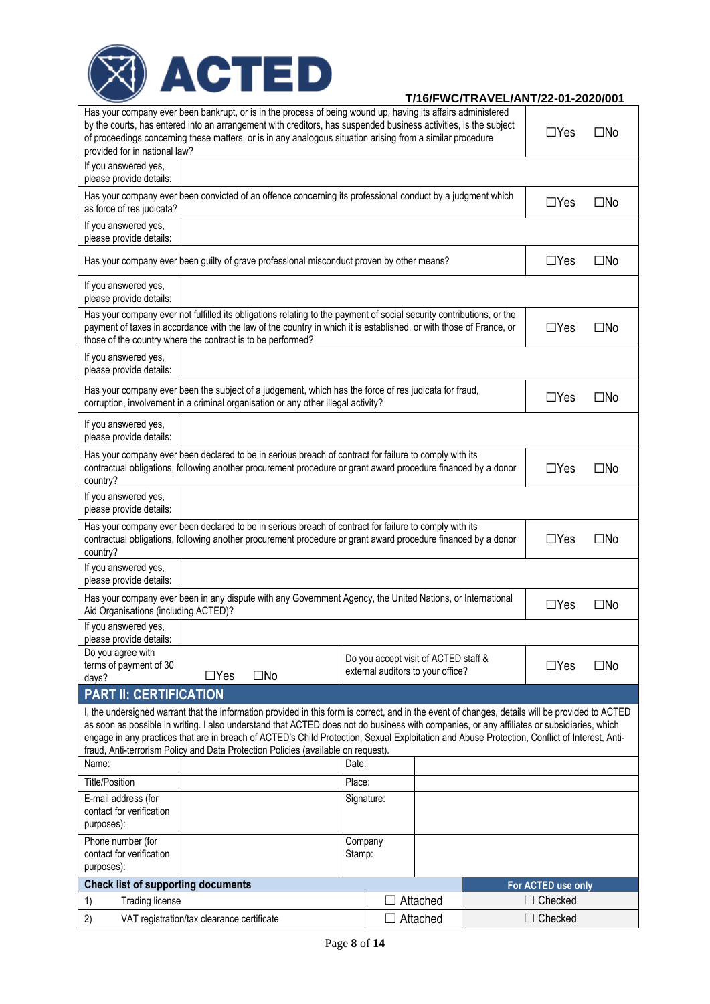

| Has your company ever been bankrupt, or is in the process of being wound up, having its affairs administered<br>by the courts, has entered into an arrangement with creditors, has suspended business activities, is the subject<br>$\Box$ Yes<br>$\square$ No<br>of proceedings concerning these matters, or is in any analogous situation arising from a similar procedure<br>provided for in national law?                                                                                                                        |        |                                                                           |  |  |                    |              |  |
|--------------------------------------------------------------------------------------------------------------------------------------------------------------------------------------------------------------------------------------------------------------------------------------------------------------------------------------------------------------------------------------------------------------------------------------------------------------------------------------------------------------------------------------|--------|---------------------------------------------------------------------------|--|--|--------------------|--------------|--|
| If you answered yes,<br>please provide details:                                                                                                                                                                                                                                                                                                                                                                                                                                                                                      |        |                                                                           |  |  |                    |              |  |
| Has your company ever been convicted of an offence concerning its professional conduct by a judgment which<br>as force of res judicata?                                                                                                                                                                                                                                                                                                                                                                                              |        |                                                                           |  |  | $\Box$ Yes         | $\square$ No |  |
| If you answered yes,<br>please provide details:                                                                                                                                                                                                                                                                                                                                                                                                                                                                                      |        |                                                                           |  |  |                    |              |  |
| Has your company ever been guilty of grave professional misconduct proven by other means?                                                                                                                                                                                                                                                                                                                                                                                                                                            |        |                                                                           |  |  | $\Box$ Yes         | $\square$ No |  |
| If you answered yes,<br>please provide details:                                                                                                                                                                                                                                                                                                                                                                                                                                                                                      |        |                                                                           |  |  |                    |              |  |
| Has your company ever not fulfilled its obligations relating to the payment of social security contributions, or the<br>payment of taxes in accordance with the law of the country in which it is established, or with those of France, or<br>$\Box$ Yes<br>$\square$ No<br>those of the country where the contract is to be performed?                                                                                                                                                                                              |        |                                                                           |  |  |                    |              |  |
| If you answered yes,<br>please provide details:                                                                                                                                                                                                                                                                                                                                                                                                                                                                                      |        |                                                                           |  |  |                    |              |  |
| Has your company ever been the subject of a judgement, which has the force of res judicata for fraud,<br>corruption, involvement in a criminal organisation or any other illegal activity?                                                                                                                                                                                                                                                                                                                                           |        |                                                                           |  |  | $\Box$ Yes         | $\square$ No |  |
| If you answered yes,<br>please provide details:                                                                                                                                                                                                                                                                                                                                                                                                                                                                                      |        |                                                                           |  |  |                    |              |  |
| Has your company ever been declared to be in serious breach of contract for failure to comply with its<br>contractual obligations, following another procurement procedure or grant award procedure financed by a donor<br>$\Box$ Yes<br>$\square$ No<br>country?                                                                                                                                                                                                                                                                    |        |                                                                           |  |  |                    |              |  |
| If you answered yes,<br>please provide details:                                                                                                                                                                                                                                                                                                                                                                                                                                                                                      |        |                                                                           |  |  |                    |              |  |
| Has your company ever been declared to be in serious breach of contract for failure to comply with its<br>$\Box$ Yes<br>contractual obligations, following another procurement procedure or grant award procedure financed by a donor<br>$\square$ No<br>country?                                                                                                                                                                                                                                                                    |        |                                                                           |  |  |                    |              |  |
| If you answered yes,<br>please provide details:                                                                                                                                                                                                                                                                                                                                                                                                                                                                                      |        |                                                                           |  |  |                    |              |  |
| Has your company ever been in any dispute with any Government Agency, the United Nations, or International<br>Aid Organisations (including ACTED)?                                                                                                                                                                                                                                                                                                                                                                                   |        |                                                                           |  |  | $\Box$ Yes         | $\square$ No |  |
| If you answered yes,<br>please provide details:                                                                                                                                                                                                                                                                                                                                                                                                                                                                                      |        |                                                                           |  |  |                    |              |  |
| Do you agree with<br>terms of payment of 30<br>$\square$ No<br>$\Box$ Yes<br>days?                                                                                                                                                                                                                                                                                                                                                                                                                                                   |        | Do you accept visit of ACTED staff &<br>external auditors to your office? |  |  | $\Box$ Yes         | $\square$ No |  |
| <b>PART II: CERTIFICATION</b>                                                                                                                                                                                                                                                                                                                                                                                                                                                                                                        |        |                                                                           |  |  |                    |              |  |
| I, the undersigned warrant that the information provided in this form is correct, and in the event of changes, details will be provided to ACTED<br>as soon as possible in writing. I also understand that ACTED does not do business with companies, or any affiliates or subsidiaries, which<br>engage in any practices that are in breach of ACTED's Child Protection, Sexual Exploitation and Abuse Protection, Conflict of Interest, Anti-<br>fraud, Anti-terrorism Policy and Data Protection Policies (available on request). |        |                                                                           |  |  |                    |              |  |
| Name:<br>Date:                                                                                                                                                                                                                                                                                                                                                                                                                                                                                                                       |        |                                                                           |  |  |                    |              |  |
| <b>Title/Position</b>                                                                                                                                                                                                                                                                                                                                                                                                                                                                                                                |        |                                                                           |  |  |                    |              |  |
| E-mail address (for<br>contact for verification<br>purposes):                                                                                                                                                                                                                                                                                                                                                                                                                                                                        |        | Signature:                                                                |  |  |                    |              |  |
| Phone number (for<br>Company                                                                                                                                                                                                                                                                                                                                                                                                                                                                                                         |        |                                                                           |  |  |                    |              |  |
| contact for verification<br>purposes):                                                                                                                                                                                                                                                                                                                                                                                                                                                                                               | Stamp: |                                                                           |  |  |                    |              |  |
| <b>Check list of supporting documents</b>                                                                                                                                                                                                                                                                                                                                                                                                                                                                                            |        |                                                                           |  |  | For ACTED use only |              |  |
| 1)<br><b>Trading license</b>                                                                                                                                                                                                                                                                                                                                                                                                                                                                                                         |        | Attached                                                                  |  |  | $\Box$ Checked     |              |  |
| 2)<br>VAT registration/tax clearance certificate                                                                                                                                                                                                                                                                                                                                                                                                                                                                                     |        | Attached                                                                  |  |  | $\Box$ Checked     |              |  |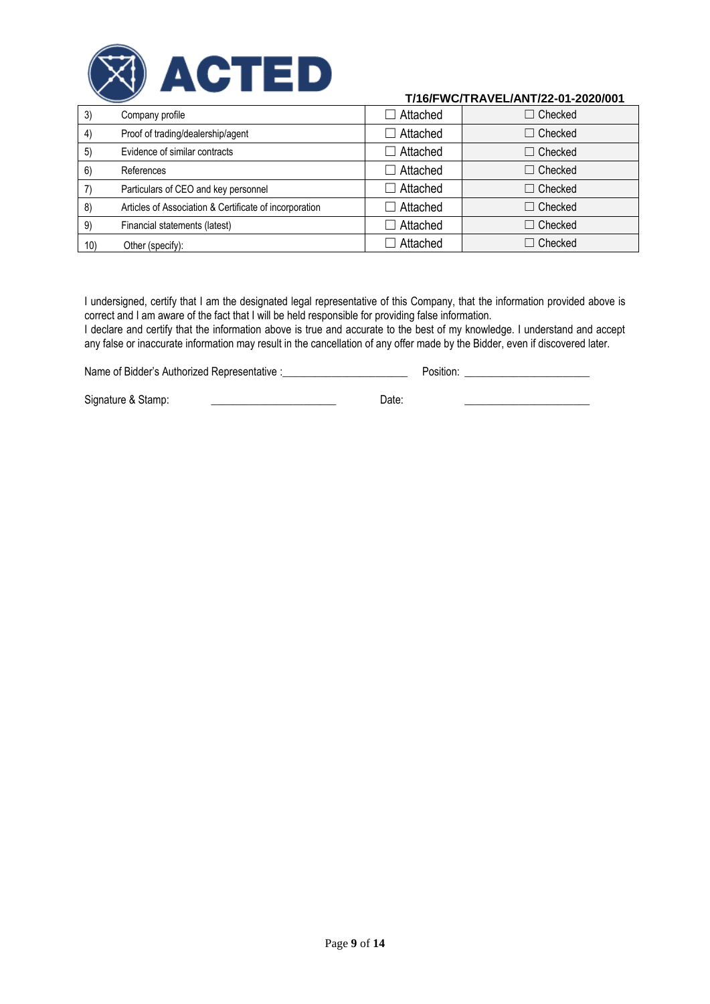

| 3)  | Company profile                                        | $\Box$ Attached | $\Box$ Checked |
|-----|--------------------------------------------------------|-----------------|----------------|
| 4)  | Proof of trading/dealership/agent                      | $\Box$ Attached | $\Box$ Checked |
| 5)  | Evidence of similar contracts                          | $\Box$ Attached | $\Box$ Checked |
| 6)  | References                                             | $\Box$ Attached | $\Box$ Checked |
|     | Particulars of CEO and key personnel                   | $\Box$ Attached | $\Box$ Checked |
| 8)  | Articles of Association & Certificate of incorporation | $\Box$ Attached | $\Box$ Checked |
| 9)  | Financial statements (latest)                          | Attached        | $\Box$ Checked |
| 10) | Other (specify):                                       | Attached        | $\Box$ Checked |

I undersigned, certify that I am the designated legal representative of this Company, that the information provided above is correct and I am aware of the fact that I will be held responsible for providing false information.

I declare and certify that the information above is true and accurate to the best of my knowledge. I understand and accept any false or inaccurate information may result in the cancellation of any offer made by the Bidder, even if discovered later.

Name of Bidder's Authorized Representative :\_\_\_\_\_\_\_\_\_\_\_\_\_\_\_\_\_\_\_\_\_\_\_ Position: \_\_\_\_\_\_\_\_\_\_\_\_\_\_\_\_\_\_\_\_\_\_\_

Signature & Stamp: \_\_\_\_\_\_\_\_\_\_\_\_\_\_\_\_\_\_\_\_\_\_\_ Date: \_\_\_\_\_\_\_\_\_\_\_\_\_\_\_\_\_\_\_\_\_\_\_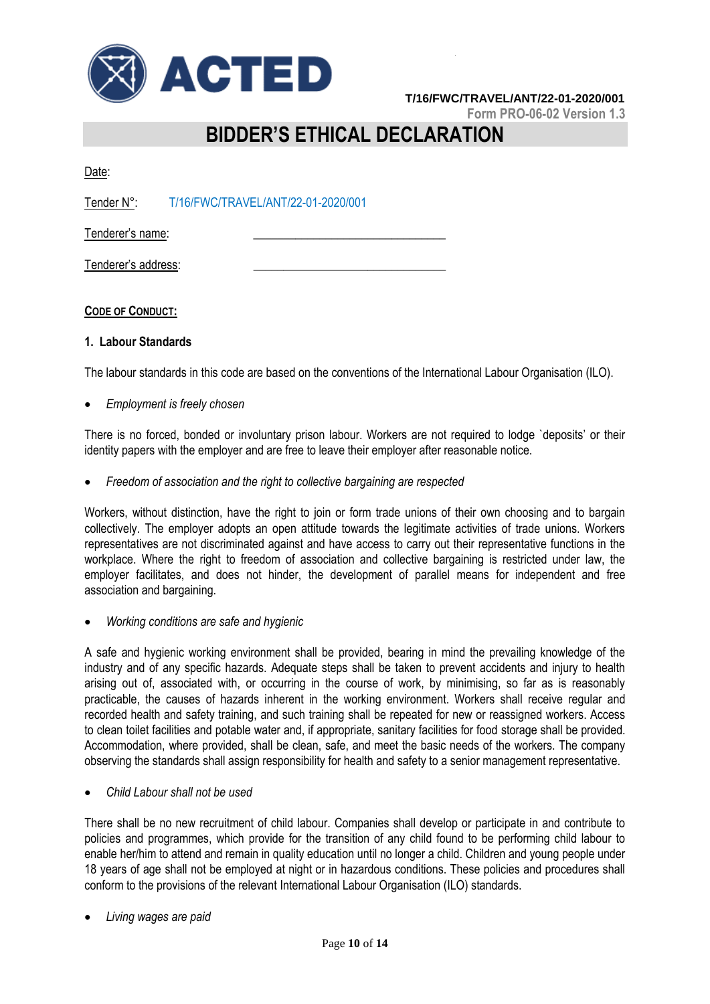

**Form PRO-06-02 Version 1.3**

# **BIDDER'S ETHICAL DECLARATION**

Date:

Tender N°: T/16/FWC/TRAVEL/ANT/22-01-2020/001

Tenderer's name:

Tenderer's address:

### **CODE OF CONDUCT:**

### **1. Labour Standards**

The labour standards in this code are based on the conventions of the International Labour Organisation (ILO).

*Employment is freely chosen*

There is no forced, bonded or involuntary prison labour. Workers are not required to lodge `deposits' or their identity papers with the employer and are free to leave their employer after reasonable notice.

*Freedom of association and the right to collective bargaining are respected*

Workers, without distinction, have the right to join or form trade unions of their own choosing and to bargain collectively. The employer adopts an open attitude towards the legitimate activities of trade unions. Workers representatives are not discriminated against and have access to carry out their representative functions in the workplace. Where the right to freedom of association and collective bargaining is restricted under law, the employer facilitates, and does not hinder, the development of parallel means for independent and free association and bargaining.

*Working conditions are safe and hygienic*

A safe and hygienic working environment shall be provided, bearing in mind the prevailing knowledge of the industry and of any specific hazards. Adequate steps shall be taken to prevent accidents and injury to health arising out of, associated with, or occurring in the course of work, by minimising, so far as is reasonably practicable, the causes of hazards inherent in the working environment. Workers shall receive regular and recorded health and safety training, and such training shall be repeated for new or reassigned workers. Access to clean toilet facilities and potable water and, if appropriate, sanitary facilities for food storage shall be provided. Accommodation, where provided, shall be clean, safe, and meet the basic needs of the workers. The company observing the standards shall assign responsibility for health and safety to a senior management representative.

*Child Labour shall not be used*

There shall be no new recruitment of child labour. Companies shall develop or participate in and contribute to policies and programmes, which provide for the transition of any child found to be performing child labour to enable her/him to attend and remain in quality education until no longer a child. Children and young people under 18 years of age shall not be employed at night or in hazardous conditions. These policies and procedures shall conform to the provisions of the relevant International Labour Organisation (ILO) standards.

*Living wages are paid*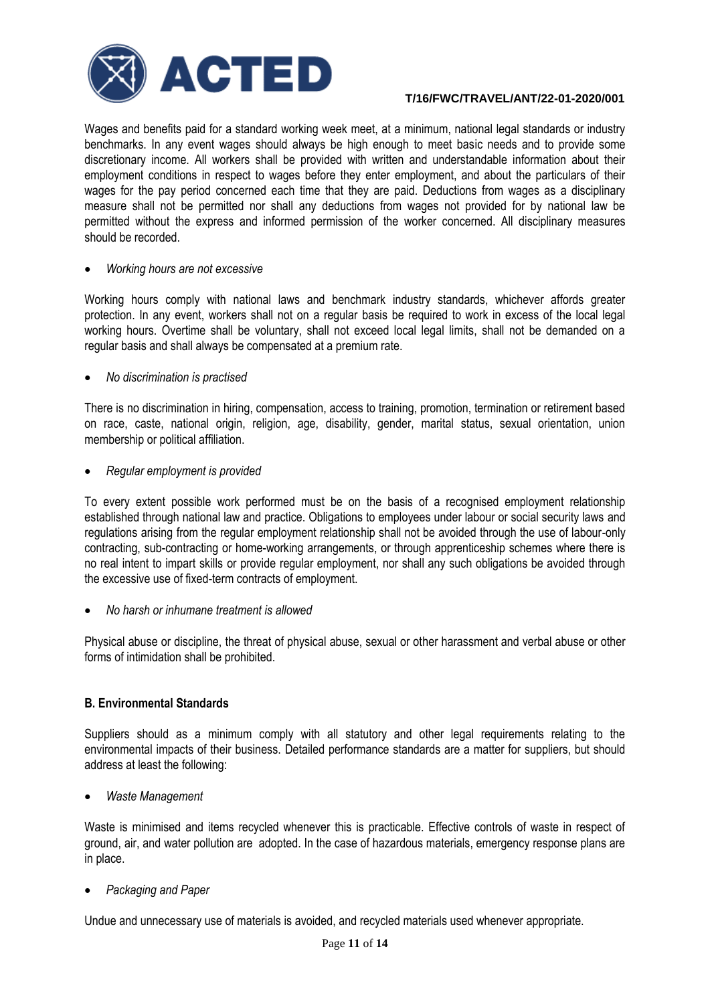

Wages and benefits paid for a standard working week meet, at a minimum, national legal standards or industry benchmarks. In any event wages should always be high enough to meet basic needs and to provide some discretionary income. All workers shall be provided with written and understandable information about their employment conditions in respect to wages before they enter employment, and about the particulars of their wages for the pay period concerned each time that they are paid. Deductions from wages as a disciplinary measure shall not be permitted nor shall any deductions from wages not provided for by national law be permitted without the express and informed permission of the worker concerned. All disciplinary measures should be recorded.

### *Working hours are not excessive*

Working hours comply with national laws and benchmark industry standards, whichever affords greater protection. In any event, workers shall not on a regular basis be required to work in excess of the local legal working hours. Overtime shall be voluntary, shall not exceed local legal limits, shall not be demanded on a regular basis and shall always be compensated at a premium rate.

### *No discrimination is practised*

There is no discrimination in hiring, compensation, access to training, promotion, termination or retirement based on race, caste, national origin, religion, age, disability, gender, marital status, sexual orientation, union membership or political affiliation.

### *Regular employment is provided*

To every extent possible work performed must be on the basis of a recognised employment relationship established through national law and practice. Obligations to employees under labour or social security laws and regulations arising from the regular employment relationship shall not be avoided through the use of labour-only contracting, sub-contracting or home-working arrangements, or through apprenticeship schemes where there is no real intent to impart skills or provide regular employment, nor shall any such obligations be avoided through the excessive use of fixed-term contracts of employment.

*No harsh or inhumane treatment is allowed*

Physical abuse or discipline, the threat of physical abuse, sexual or other harassment and verbal abuse or other forms of intimidation shall be prohibited.

### **B. Environmental Standards**

Suppliers should as a minimum comply with all statutory and other legal requirements relating to the environmental impacts of their business. Detailed performance standards are a matter for suppliers, but should address at least the following:

*Waste Management*

Waste is minimised and items recycled whenever this is practicable. Effective controls of waste in respect of ground, air, and water pollution are adopted. In the case of hazardous materials, emergency response plans are in place.

*Packaging and Paper*

Undue and unnecessary use of materials is avoided, and recycled materials used whenever appropriate.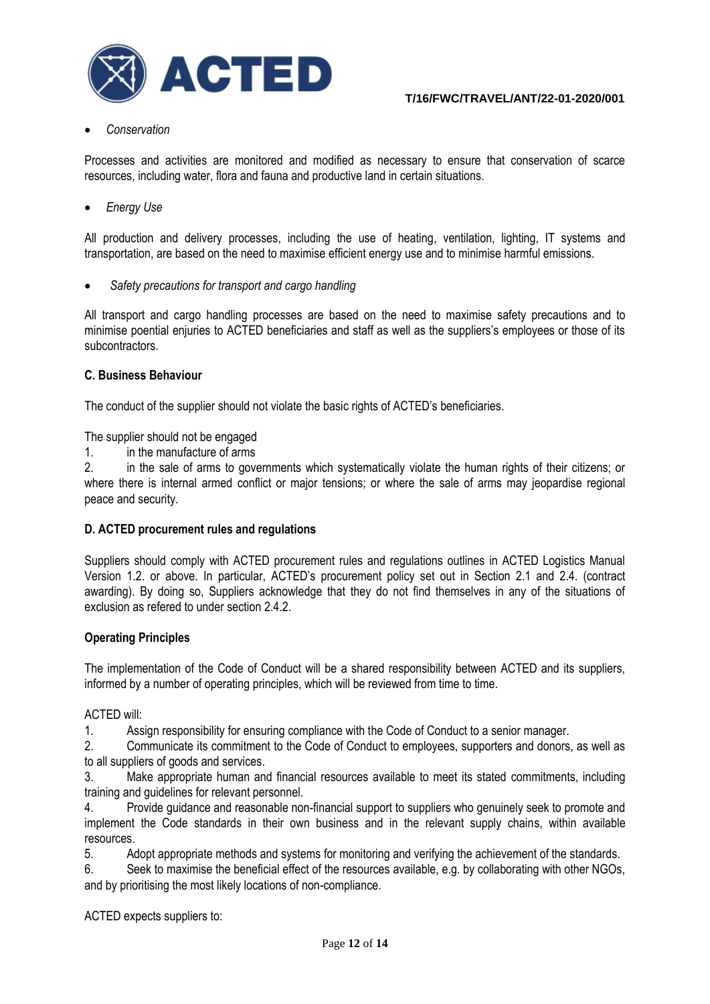

### *Conservation*

Processes and activities are monitored and modified as necessary to ensure that conservation of scarce resources, including water, flora and fauna and productive land in certain situations.

*Energy Use* 

All production and delivery processes, including the use of heating, ventilation, lighting, IT systems and transportation, are based on the need to maximise efficient energy use and to minimise harmful emissions.

*Safety precautions for transport and cargo handling*

All transport and cargo handling processes are based on the need to maximise safety precautions and to minimise poential enjuries to ACTED beneficiaries and staff as well as the suppliers's employees or those of its subcontractors.

### **C. Business Behaviour**

The conduct of the supplier should not violate the basic rights of ACTED's beneficiaries.

The supplier should not be engaged

1. in the manufacture of arms

2. in the sale of arms to governments which systematically violate the human rights of their citizens; or where there is internal armed conflict or major tensions; or where the sale of arms may jeopardise regional peace and security.

### **D. ACTED procurement rules and regulations**

Suppliers should comply with ACTED procurement rules and regulations outlines in ACTED Logistics Manual Version 1.2. or above. In particular, ACTED's procurement policy set out in Section 2.1 and 2.4. (contract awarding). By doing so, Suppliers acknowledge that they do not find themselves in any of the situations of exclusion as refered to under section 2.4.2.

### **Operating Principles**

The implementation of the Code of Conduct will be a shared responsibility between ACTED and its suppliers, informed by a number of operating principles, which will be reviewed from time to time.

ACTED will:

1. Assign responsibility for ensuring compliance with the Code of Conduct to a senior manager.

2. Communicate its commitment to the Code of Conduct to employees, supporters and donors, as well as to all suppliers of goods and services.

3. Make appropriate human and financial resources available to meet its stated commitments, including training and guidelines for relevant personnel.

4. Provide guidance and reasonable non-financial support to suppliers who genuinely seek to promote and implement the Code standards in their own business and in the relevant supply chains, within available resources.

5. Adopt appropriate methods and systems for monitoring and verifying the achievement of the standards.

6. Seek to maximise the beneficial effect of the resources available, e.g. by collaborating with other NGOs, and by prioritising the most likely locations of non-compliance.

ACTED expects suppliers to: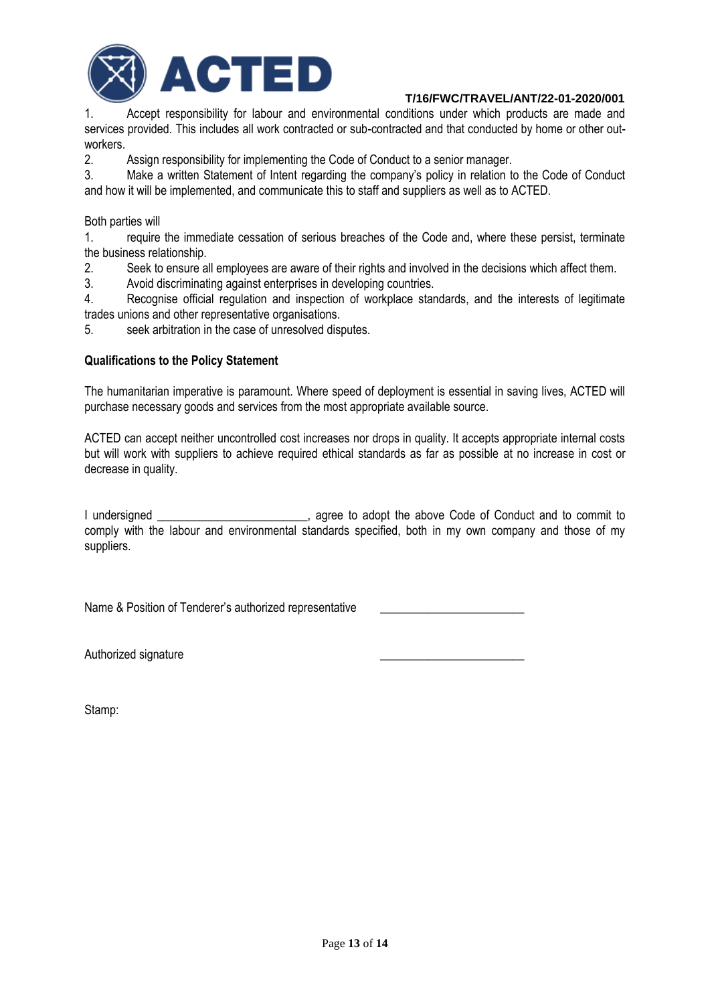

1. Accept responsibility for labour and environmental conditions under which products are made and services provided. This includes all work contracted or sub-contracted and that conducted by home or other outworkers.

2. Assign responsibility for implementing the Code of Conduct to a senior manager.

3. Make a written Statement of Intent regarding the company's policy in relation to the Code of Conduct and how it will be implemented, and communicate this to staff and suppliers as well as to ACTED.

### Both parties will

1. require the immediate cessation of serious breaches of the Code and, where these persist, terminate the business relationship.

2. Seek to ensure all employees are aware of their rights and involved in the decisions which affect them.

3. Avoid discriminating against enterprises in developing countries.

4. Recognise official regulation and inspection of workplace standards, and the interests of legitimate trades unions and other representative organisations.

5. seek arbitration in the case of unresolved disputes.

### **Qualifications to the Policy Statement**

The humanitarian imperative is paramount. Where speed of deployment is essential in saving lives, ACTED will purchase necessary goods and services from the most appropriate available source.

ACTED can accept neither uncontrolled cost increases nor drops in quality. It accepts appropriate internal costs but will work with suppliers to achieve required ethical standards as far as possible at no increase in cost or decrease in quality.

I undersigned \_\_\_\_\_\_\_\_\_\_\_\_\_\_\_\_\_\_\_\_\_\_\_\_, agree to adopt the above Code of Conduct and to commit to comply with the labour and environmental standards specified, both in my own company and those of my suppliers.

Name & Position of Tenderer's authorized representative

Authorized signature

Stamp: